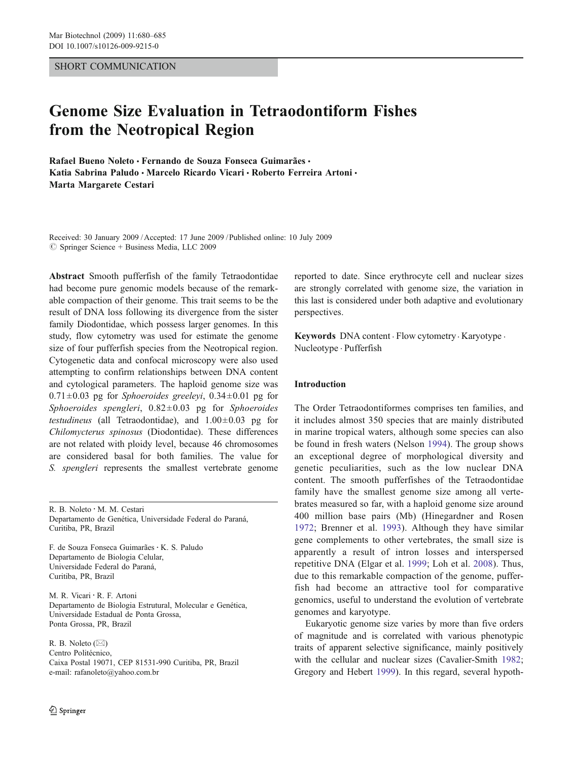## SHORT COMMUNICATION

# Genome Size Evaluation in Tetraodontiform Fishes from the Neotropical Region

Rafael Bueno Noleto · Fernando de Souza Fonseca Guimarães · Katia Sabrina Paludo · Marcelo Ricardo Vicari · Roberto Ferreira Artoni · Marta Margarete Cestari

Received: 30 January 2009 /Accepted: 17 June 2009 / Published online: 10 July 2009  $\circledcirc$  Springer Science + Business Media, LLC 2009

Abstract Smooth pufferfish of the family Tetraodontidae had become pure genomic models because of the remarkable compaction of their genome. This trait seems to be the result of DNA loss following its divergence from the sister family Diodontidae, which possess larger genomes. In this study, flow cytometry was used for estimate the genome size of four pufferfish species from the Neotropical region. Cytogenetic data and confocal microscopy were also used attempting to confirm relationships between DNA content and cytological parameters. The haploid genome size was  $0.71\pm0.03$  pg for Sphoeroides greeleyi,  $0.34\pm0.01$  pg for Sphoeroides spengleri,  $0.82 \pm 0.03$  pg for Sphoeroides testudineus (all Tetraodontidae), and 1.00±0.03 pg for Chilomycterus spinosus (Diodontidae). These differences are not related with ploidy level, because 46 chromosomes are considered basal for both families. The value for S. spengleri represents the smallest vertebrate genome

R. B. Noleto : M. M. Cestari Departamento de Genética, Universidade Federal do Paraná, Curitiba, PR, Brazil

F. de Souza Fonseca Guimarães · K. S. Paludo Departamento de Biologia Celular, Universidade Federal do Paraná, Curitiba, PR, Brazil

M. R. Vicari : R. F. Artoni Departamento de Biologia Estrutural, Molecular e Genética, Universidade Estadual de Ponta Grossa, Ponta Grossa, PR, Brazil

R. B. Noleto (*\**) Centro Politécnico, Caixa Postal 19071, CEP 81531-990 Curitiba, PR, Brazil e-mail: rafanoleto@yahoo.com.br

reported to date. Since erythrocyte cell and nuclear sizes are strongly correlated with genome size, the variation in this last is considered under both adaptive and evolutionary perspectives.

Keywords DNA content . Flow cytometry. Karyotype . Nucleotype . Pufferfish

# Introduction

The Order Tetraodontiformes comprises ten families, and it includes almost 350 species that are mainly distributed in marine tropical waters, although some species can also be found in fresh waters (Nelson [1994\)](#page-5-0). The group shows an exceptional degree of morphological diversity and genetic peculiarities, such as the low nuclear DNA content. The smooth pufferfishes of the Tetraodontidae family have the smallest genome size among all vertebrates measured so far, with a haploid genome size around 400 million base pairs (Mb) (Hinegardner and Rosen [1972](#page-5-0); Brenner et al. [1993](#page-5-0)). Although they have similar gene complements to other vertebrates, the small size is apparently a result of intron losses and interspersed repetitive DNA (Elgar et al. [1999;](#page-5-0) Loh et al. [2008\)](#page-5-0). Thus, due to this remarkable compaction of the genome, pufferfish had become an attractive tool for comparative genomics, useful to understand the evolution of vertebrate genomes and karyotype.

Eukaryotic genome size varies by more than five orders of magnitude and is correlated with various phenotypic traits of apparent selective significance, mainly positively with the cellular and nuclear sizes (Cavalier-Smith [1982;](#page-5-0) Gregory and Hebert [1999](#page-5-0)). In this regard, several hypoth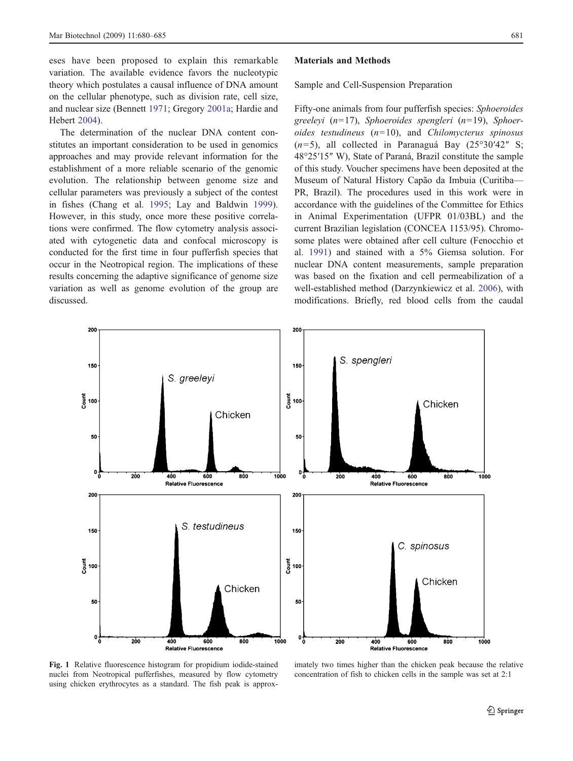<span id="page-1-0"></span>eses have been proposed to explain this remarkable variation. The available evidence favors the nucleotypic theory which postulates a causal influence of DNA amount on the cellular phenotype, such as division rate, cell size, and nuclear size (Bennett [1971](#page-5-0); Gregory [2001a;](#page-5-0) Hardie and Hebert [2004](#page-5-0)).

The determination of the nuclear DNA content constitutes an important consideration to be used in genomics approaches and may provide relevant information for the establishment of a more reliable scenario of the genomic evolution. The relationship between genome size and cellular parameters was previously a subject of the contest in fishes (Chang et al. [1995](#page-5-0); Lay and Baldwin [1999](#page-5-0)). However, in this study, once more these positive correlations were confirmed. The flow cytometry analysis associated with cytogenetic data and confocal microscopy is conducted for the first time in four pufferfish species that occur in the Neotropical region. The implications of these results concerning the adaptive significance of genome size variation as well as genome evolution of the group are discussed.

#### Materials and Methods

Sample and Cell-Suspension Preparation

Fifty-one animals from four pufferfish species: Sphoeroides greeleyi ( $n=17$ ), Sphoeroides spengleri ( $n=19$ ), Sphoeroides testudineus  $(n=10)$ , and Chilomycterus spinosus  $(n=5)$ , all collected in Paranaguá Bay (25°30′42″ S; 48°25′15″ W), State of Paraná, Brazil constitute the sample of this study. Voucher specimens have been deposited at the Museum of Natural History Capão da Imbuia (Curitiba— PR, Brazil). The procedures used in this work were in accordance with the guidelines of the Committee for Ethics in Animal Experimentation (UFPR 01/03BL) and the current Brazilian legislation (CONCEA 1153/95). Chromosome plates were obtained after cell culture (Fenocchio et al. [1991](#page-5-0)) and stained with a 5% Giemsa solution. For nuclear DNA content measurements, sample preparation was based on the fixation and cell permeabilization of a well-established method (Darzynkiewicz et al. [2006](#page-5-0)), with modifications. Briefly, red blood cells from the caudal



Fig. 1 Relative fluorescence histogram for propidium iodide-stained nuclei from Neotropical pufferfishes, measured by flow cytometry using chicken erythrocytes as a standard. The fish peak is approx-

imately two times higher than the chicken peak because the relative concentration of fish to chicken cells in the sample was set at 2:1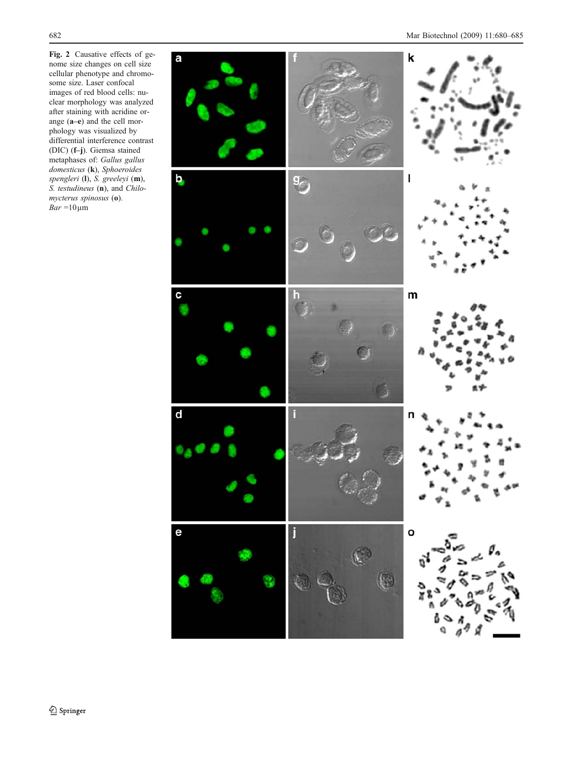<span id="page-2-0"></span>Fig. 2 Causative effects of genome size changes on cell size cellular phenotype and chromosome size. Laser confocal images of red blood cells: nuclear morphology was analyzed after staining with acridine orange (a–e) and the cell morphology was visualized by differential interference contrast (DIC) ( f–j). Giemsa stained metaphases of: Gallus gallus domesticus (k), Sphoeroides spengleri (I), S. greeleyi (m), S. testudineus (n), and Chilomycterus spinosus (o).  $Bar = 10 \,\mu m$ 

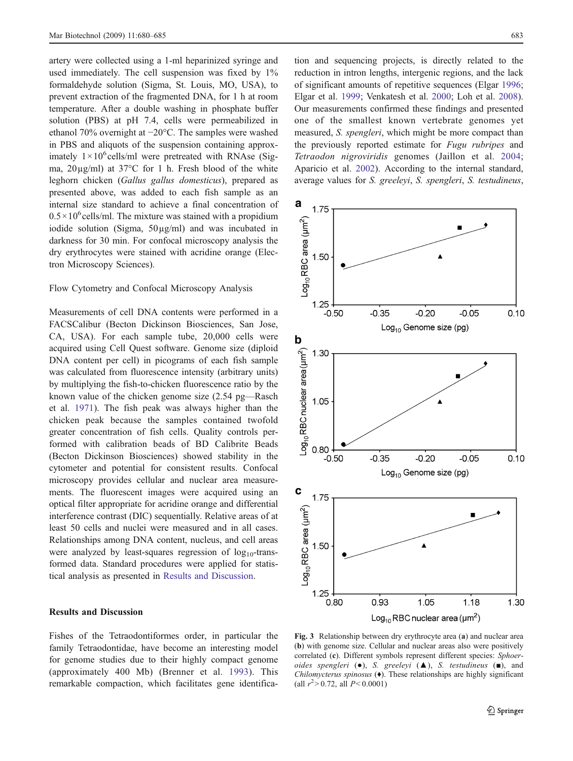<span id="page-3-0"></span>artery were collected using a 1-ml heparinized syringe and used immediately. The cell suspension was fixed by 1% formaldehyde solution (Sigma, St. Louis, MO, USA), to prevent extraction of the fragmented DNA, for 1 h at room temperature. After a double washing in phosphate buffer solution (PBS) at pH 7.4, cells were permeabilized in ethanol 70% overnight at *−*20°C. The samples were washed in PBS and aliquots of the suspension containing approximately  $1 \times 10^6$  cells/ml were pretreated with RNAse (Sigma,  $20\mu g/ml$ ) at  $37^{\circ}$ C for 1 h. Fresh blood of the white leghorn chicken (Gallus gallus domesticus), prepared as presented above, was added to each fish sample as an internal size standard to achieve a final concentration of  $0.5 \times 10^6$  cells/ml. The mixture was stained with a propidium iodide solution (Sigma, 50µg/ml) and was incubated in darkness for 30 min. For confocal microscopy analysis the dry erythrocytes were stained with acridine orange (Electron Microscopy Sciences).

## Flow Cytometry and Confocal Microscopy Analysis

Measurements of cell DNA contents were performed in a FACSCalibur (Becton Dickinson Biosciences, San Jose, CA, USA). For each sample tube, 20,000 cells were acquired using Cell Quest software. Genome size (diploid DNA content per cell) in picograms of each fish sample was calculated from fluorescence intensity (arbitrary units) by multiplying the fish-to-chicken fluorescence ratio by the known value of the chicken genome size (2.54 pg—Rasch et al. [1971\)](#page-5-0). The fish peak was always higher than the chicken peak because the samples contained twofold greater concentration of fish cells. Quality controls performed with calibration beads of BD Calibrite Beads (Becton Dickinson Biosciences) showed stability in the cytometer and potential for consistent results. Confocal microscopy provides cellular and nuclear area measurements. The fluorescent images were acquired using an optical filter appropriate for acridine orange and differential interference contrast (DIC) sequentially. Relative areas of at least 50 cells and nuclei were measured and in all cases. Relationships among DNA content, nucleus, and cell areas were analyzed by least-squares regression of  $log_{10}$ -transformed data. Standard procedures were applied for statistical analysis as presented in Results and Discussion.

# Results and Discussion

Fishes of the Tetraodontiformes order, in particular the family Tetraodontidae, have become an interesting model for genome studies due to their highly compact genome (approximately 400 Mb) (Brenner et al. [1993\)](#page-5-0). This remarkable compaction, which facilitates gene identifica-

tion and sequencing projects, is directly related to the reduction in intron lengths, intergenic regions, and the lack of significant amounts of repetitive sequences (Elgar [1996;](#page-5-0) Elgar et al. [1999;](#page-5-0) Venkatesh et al. [2000](#page-5-0); Loh et al. [2008\)](#page-5-0). Our measurements confirmed these findings and presented one of the smallest known vertebrate genomes yet measured, S. spengleri, which might be more compact than the previously reported estimate for Fugu rubripes and Tetraodon nigroviridis genomes (Jaillon et al. [2004;](#page-5-0) Aparicio et al. [2002\)](#page-5-0). According to the internal standard, average values for S. greeleyi, S. spengleri, S. testudineus,



Fig. 3 Relationship between dry erythrocyte area (a) and nuclear area (b) with genome size. Cellular and nuclear areas also were positively correlated (c). Different symbols represent different species: Sphoeroides spengleri  $(\bullet)$ , S. greeleyi  $(\blacktriangle)$ , S. testudineus  $(\blacksquare)$ , and Chilomycterus spinosus  $(\bullet)$ . These relationships are highly significant (all  $r^2 > 0.72$ , all  $P < 0.0001$ )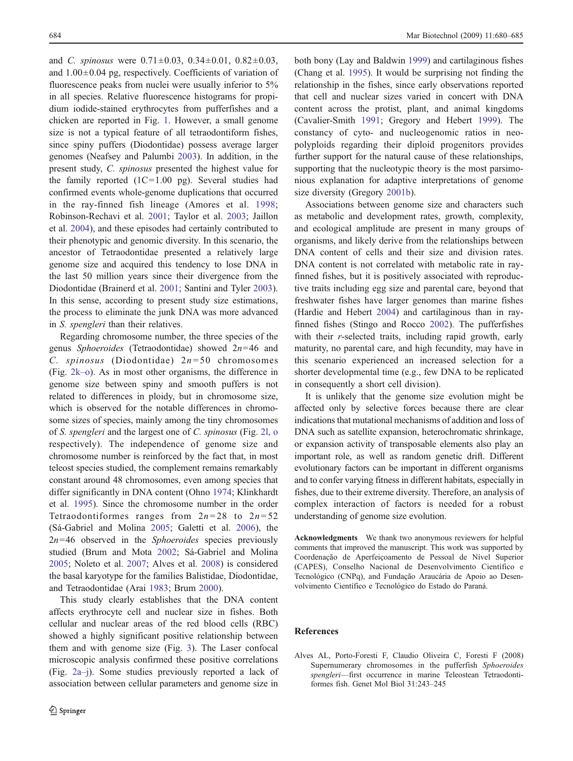and *C. spinosus* were  $0.71 \pm 0.03$ ,  $0.34 \pm 0.01$ ,  $0.82 \pm 0.03$ , and  $1.00\pm0.04$  pg, respectively. Coefficients of variation of fluorescence peaks from nuclei were usually inferior to 5% in all species. Relative fluorescence histograms for propidium iodide-stained erythrocytes from pufferfishes and a chicken are reported in Fig. [1](#page-1-0). However, a small genome size is not a typical feature of all tetraodontiform fishes, since spiny puffers (Diodontidae) possess average larger genomes (Neafsey and Palumbi [2003\)](#page-5-0). In addition, in the present study, C. spinosus presented the highest value for the family reported  $(1C=1.00 \text{ pg})$ . Several studies had confirmed events whole-genome duplications that occurred in the ray-finned fish lineage (Amores et al. [1998](#page-5-0); Robinson-Rechavi et al. [2001](#page-5-0); Taylor et al. [2003;](#page-5-0) Jaillon et al. [2004](#page-5-0)), and these episodes had certainly contributed to their phenotypic and genomic diversity. In this scenario, the ancestor of Tetraodontidae presented a relatively large genome size and acquired this tendency to lose DNA in the last 50 million years since their divergence from the Diodontidae (Brainerd et al. [2001](#page-5-0); Santini and Tyler [2003](#page-5-0)). In this sense, according to present study size estimations, the process to eliminate the junk DNA was more advanced in S. spengleri than their relatives.

Regarding chromosome number, the three species of the genus Sphoeroides (Tetraodontidae) showed  $2n=46$  and C. spinosus (Diodontidae)  $2n = 50$  chromosomes (Fig. [2k](#page-2-0)–o). As in most other organisms, the difference in genome size between spiny and smooth puffers is not related to differences in ploidy, but in chromosome size, which is observed for the notable differences in chromosome sizes of species, mainly among the tiny chromosomes of S. spengleri and the largest one of C. spinosus (Fig. [2l, o](#page-2-0) respectively). The independence of genome size and chromosome number is reinforced by the fact that, in most teleost species studied, the complement remains remarkably constant around 48 chromosomes, even among species that differ significantly in DNA content (Ohno [1974](#page-5-0); Klinkhardt et al. [1995](#page-5-0)). Since the chromosome number in the order Tetraodontiformes ranges from  $2n = 28$  to  $2n = 52$ (Sá-Gabriel and Molina [2005;](#page-5-0) Galetti et al. [2006\)](#page-5-0), the  $2n=46$  observed in the *Sphoeroides* species previously studied (Brum and Mota [2002;](#page-5-0) Sá-Gabriel and Molina [2005;](#page-5-0) Noleto et al. [2007;](#page-5-0) Alves et al. 2008) is considered the basal karyotype for the families Balistidae, Diodontidae, and Tetraodontidae (Arai [1983](#page-5-0); Brum [2000\)](#page-5-0).

This study clearly establishes that the DNA content affects erythrocyte cell and nuclear size in fishes. Both cellular and nuclear areas of the red blood cells (RBC) showed a highly significant positive relationship between them and with genome size (Fig. [3](#page-3-0)). The Laser confocal microscopic analysis confirmed these positive correlations (Fig. [2a](#page-2-0)–j). Some studies previously reported a lack of association between cellular parameters and genome size in

both bony (Lay and Baldwin [1999](#page-5-0)) and cartilaginous fishes (Chang et al. [1995](#page-5-0)). It would be surprising not finding the relationship in the fishes, since early observations reported that cell and nuclear sizes varied in concert with DNA content across the protist, plant, and animal kingdoms (Cavalier-Smith [1991;](#page-5-0) Gregory and Hebert [1999\)](#page-5-0). The constancy of cyto- and nucleogenomic ratios in neopolyploids regarding their diploid progenitors provides further support for the natural cause of these relationships, supporting that the nucleotypic theory is the most parsimonious explanation for adaptive interpretations of genome size diversity (Gregory [2001b\)](#page-5-0).

Associations between genome size and characters such as metabolic and development rates, growth, complexity, and ecological amplitude are present in many groups of organisms, and likely derive from the relationships between DNA content of cells and their size and division rates. DNA content is not correlated with metabolic rate in rayfinned fishes, but it is positively associated with reproductive traits including egg size and parental care, beyond that freshwater fishes have larger genomes than marine fishes (Hardie and Hebert [2004\)](#page-5-0) and cartilaginous than in rayfinned fishes (Stingo and Rocco [2002\)](#page-5-0). The pufferfishes with their *r*-selected traits, including rapid growth, early maturity, no parental care, and high fecundity, may have in this scenario experienced an increased selection for a shorter developmental time (e.g., few DNA to be replicated in consequently a short cell division).

It is unlikely that the genome size evolution might be affected only by selective forces because there are clear indications that mutational mechanisms of addition and loss of DNA such as satellite expansion, heterochromatic shrinkage, or expansion activity of transposable elements also play an important role, as well as random genetic drift. Different evolutionary factors can be important in different organisms and to confer varying fitness in different habitats, especially in fishes, due to their extreme diversity. Therefore, an analysis of complex interaction of factors is needed for a robust understanding of genome size evolution.

Acknowledgments We thank two anonymous reviewers for helpful comments that improved the manuscript. This work was supported by Coordenação de Aperfeiçoamento de Pessoal de Nível Superior (CAPES), Conselho Nacional de Desenvolvimento Científico e Tecnológico (CNPq), and Fundação Araucária de Apoio ao Desenvolvimento Científico e Tecnológico do Estado do Paraná.

### References

Alves AL, Porto-Foresti F, Claudio Oliveira C, Foresti F (2008) Supernumerary chromosomes in the pufferfish Sphoeroides spengleri—first occurrence in marine Teleostean Tetraodontiformes fish. Genet Mol Biol 31:243–245